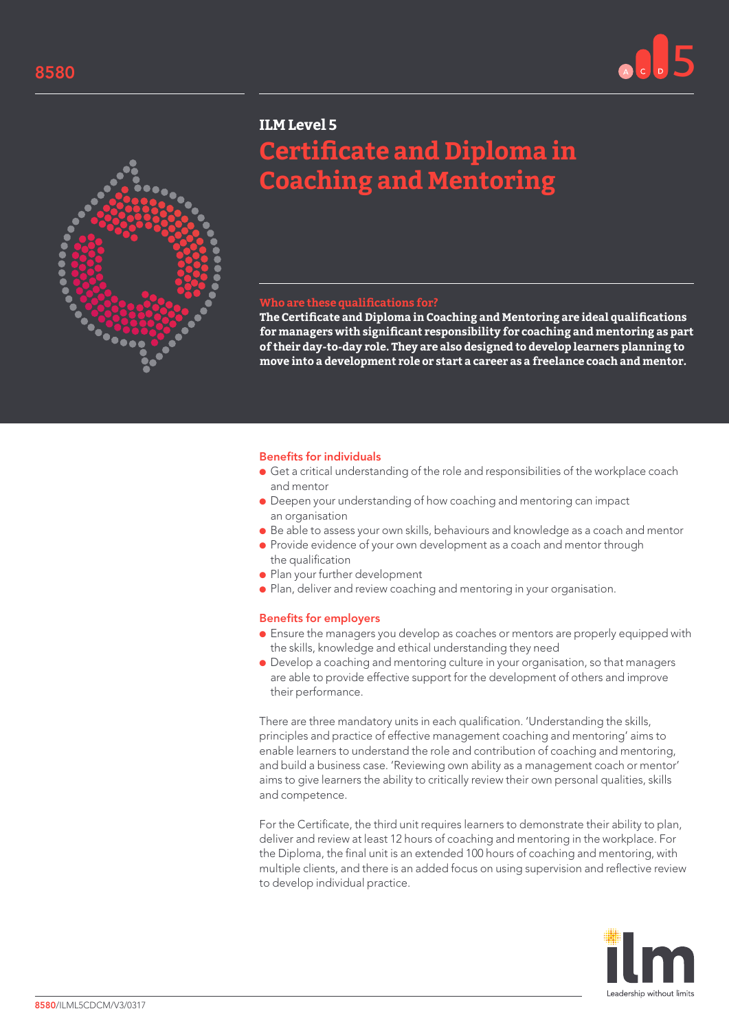



## **ILM Level 5**

# **Certificate and Diploma in Coaching and Mentoring**

## **Who are these qualifications for?**

**The Certificate and Diploma in Coaching and Mentoring are ideal qualifications for managers with significant responsibility for coaching and mentoring as part of their day-to-day role. They are also designed to develop learners planning to move into a development role or start a career as a freelance coach and mentor.**

#### Benefits for individuals

- Get a critical understanding of the role and responsibilities of the workplace coach and mentor
- Deepen your understanding of how coaching and mentoring can impact an organisation
- Be able to assess your own skills, behaviours and knowledge as a coach and mentor
- Provide evidence of your own development as a coach and mentor through the qualification
- Plan your further development
- Plan, deliver and review coaching and mentoring in your organisation.

#### Benefits for employers

- Ensure the managers you develop as coaches or mentors are properly equipped with the skills, knowledge and ethical understanding they need
- Develop a coaching and mentoring culture in your organisation, so that managers are able to provide effective support for the development of others and improve their performance.

There are three mandatory units in each qualification. 'Understanding the skills, principles and practice of effective management coaching and mentoring' aims to enable learners to understand the role and contribution of coaching and mentoring, and build a business case. 'Reviewing own ability as a management coach or mentor' aims to give learners the ability to critically review their own personal qualities, skills and competence.

For the Certificate, the third unit requires learners to demonstrate their ability to plan, deliver and review at least 12 hours of coaching and mentoring in the workplace. For the Diploma, the final unit is an extended 100 hours of coaching and mentoring, with multiple clients, and there is an added focus on using supervision and reflective review to develop individual practice.